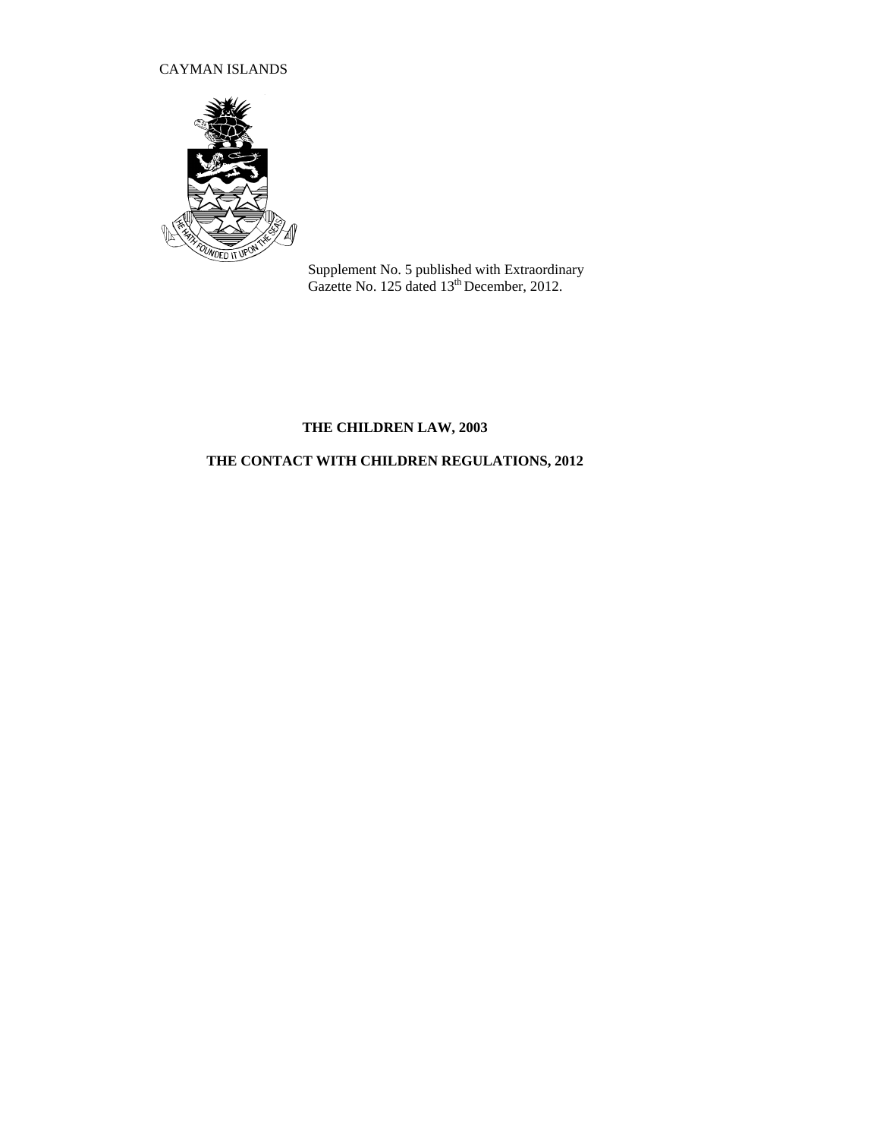## CAYMAN ISLANDS



Supplement No. 5 published with Extraordinary Gazette No. 125 dated 13<sup>th</sup> December, 2012.

## **THE CHILDREN LAW, 2003**

# **THE CONTACT WITH CHILDREN REGULATIONS, 2012**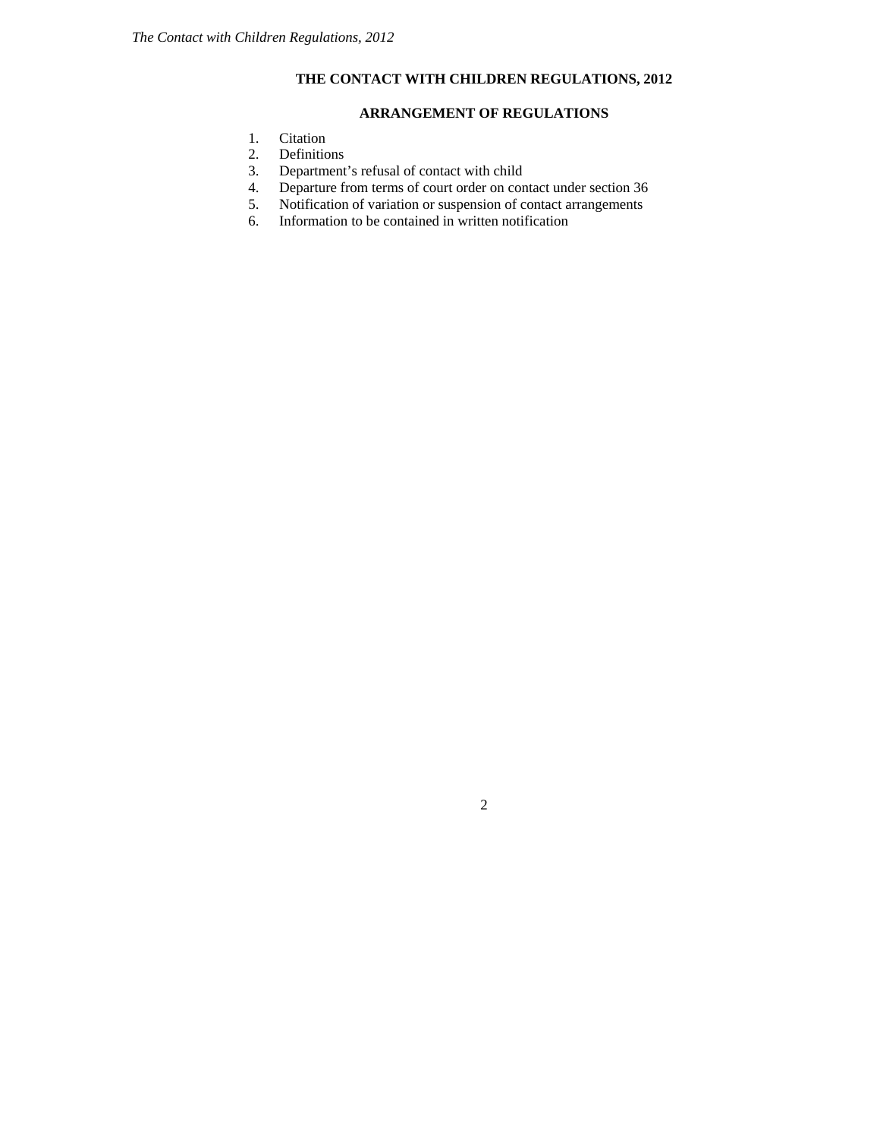## **THE CONTACT WITH CHILDREN REGULATIONS, 2012**

### **ARRANGEMENT OF REGULATIONS**

- 1. Citation<br>2. Definition
- **Definitions**
- 3. Department's refusal of contact with child
- 4. Departure from terms of court order on contact under section 36<br>5. Notification of variation or suspension of contact arrangements
- 5. Notification of variation or suspension of contact arrangements
- 6. Information to be contained in written notification

2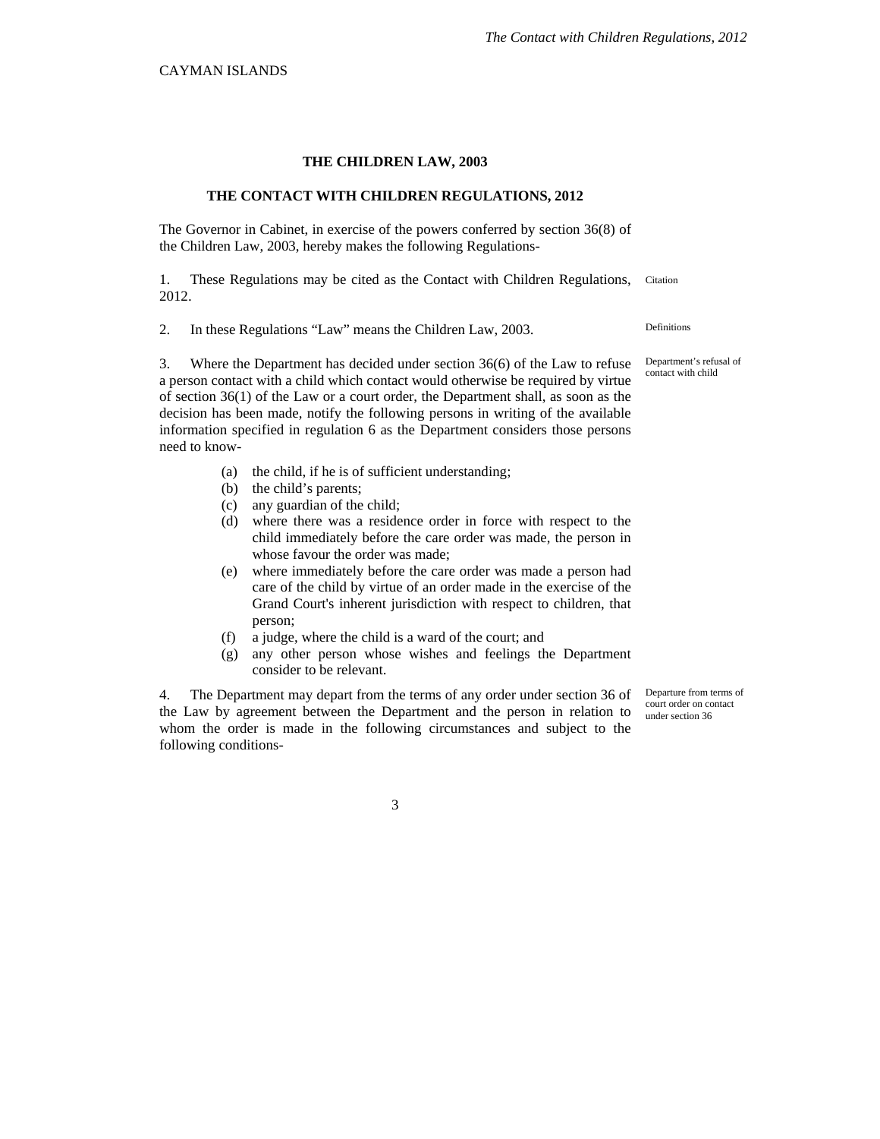#### **THE CHILDREN LAW, 2003**

#### **THE CONTACT WITH CHILDREN REGULATIONS, 2012**

The Governor in Cabinet, in exercise of the powers conferred by section 36(8) of the Children Law, 2003, hereby makes the following Regulations-

1. These Regulations may be cited as the Contact with Children Regulations, Citation 2012.

2. In these Regulations "Law" means the Children Law, 2003. Definitions

3. Where the Department has decided under section 36(6) of the Law to refuse a person contact with a child which contact would otherwise be required by virtue of section 36(1) of the Law or a court order, the Department shall, as soon as the decision has been made, notify the following persons in writing of the available information specified in regulation 6 as the Department considers those persons need to know-

- (a) the child, if he is of sufficient understanding;
- (b) the child's parents;
- (c) any guardian of the child;
- (d) where there was a residence order in force with respect to the child immediately before the care order was made, the person in whose favour the order was made;
- (e) where immediately before the care order was made a person had care of the child by virtue of an order made in the exercise of the Grand Court's inherent jurisdiction with respect to children, that person;
- (f) a judge, where the child is a ward of the court; and
- (g) any other person whose wishes and feelings the Department consider to be relevant.

4. The Department may depart from the terms of any order under section 36 of the Law by agreement between the Department and the person in relation to whom the order is made in the following circumstances and subject to the following conditions-

Departure from terms of court order on contact under section 36

Department's refusal of contact with child

3